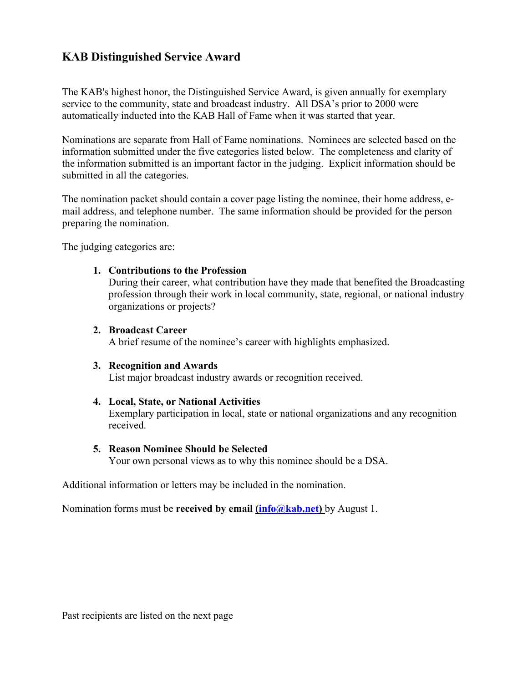# **KAB Distinguished Service Award**

The KAB's highest honor, the Distinguished Service Award, is given annually for exemplary service to the community, state and broadcast industry. All DSA's prior to 2000 were automatically inducted into the KAB Hall of Fame when it was started that year.

Nominations are separate from Hall of Fame nominations. Nominees are selected based on the information submitted under the five categories listed below. The completeness and clarity of the information submitted is an important factor in the judging. Explicit information should be submitted in all the categories.

The nomination packet should contain a cover page listing the nominee, their home address, email address, and telephone number. The same information should be provided for the person preparing the nomination.

The judging categories are:

## **1. Contributions to the Profession**

During their career, what contribution have they made that benefited the Broadcasting profession through their work in local community, state, regional, or national industry organizations or projects?

### **2. Broadcast Career**

A brief resume of the nominee's career with highlights emphasized.

#### **3. Recognition and Awards**

List major broadcast industry awards or recognition received.

#### **4. Local, State, or National Activities**

Exemplary participation in local, state or national organizations and any recognition received.

#### **5. Reason Nominee Should be Selected**

Your own personal views as to why this nominee should be a DSA.

Additional information or letters may be included in the nomination.

Nomination forms must be **received by email (info@kab.net)** by August 1.

Past recipients are listed on the next page